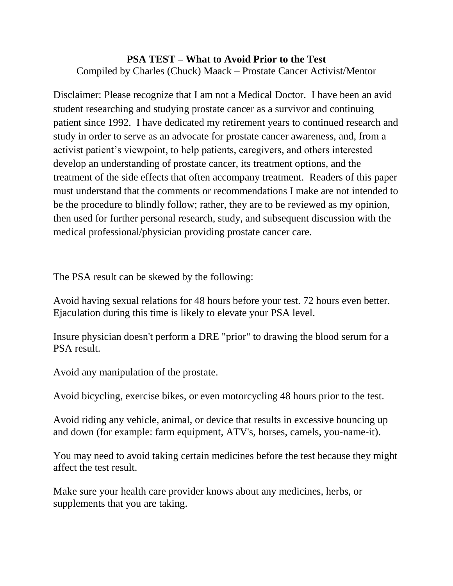## **PSA TEST – What to Avoid Prior to the Test** Compiled by Charles (Chuck) Maack – Prostate Cancer Activist/Mentor

Disclaimer: Please recognize that I am not a Medical Doctor. I have been an avid student researching and studying prostate cancer as a survivor and continuing patient since 1992. I have dedicated my retirement years to continued research and study in order to serve as an advocate for prostate cancer awareness, and, from a activist patient's viewpoint, to help patients, caregivers, and others interested develop an understanding of prostate cancer, its treatment options, and the treatment of the side effects that often accompany treatment. Readers of this paper must understand that the comments or recommendations I make are not intended to be the procedure to blindly follow; rather, they are to be reviewed as my opinion, then used for further personal research, study, and subsequent discussion with the medical professional/physician providing prostate cancer care.

The PSA result can be skewed by the following:

Avoid having sexual relations for 48 hours before your test. 72 hours even better. Ejaculation during this time is likely to elevate your PSA level.

Insure physician doesn't perform a DRE "prior" to drawing the blood serum for a PSA result.

Avoid any manipulation of the prostate.

Avoid bicycling, exercise bikes, or even motorcycling 48 hours prior to the test.

Avoid riding any vehicle, animal, or device that results in excessive bouncing up and down (for example: farm equipment, ATV's, horses, camels, you-name-it).

You may need to avoid taking certain medicines before the test because they might affect the test result.

Make sure your health care provider knows about any medicines, herbs, or supplements that you are taking.